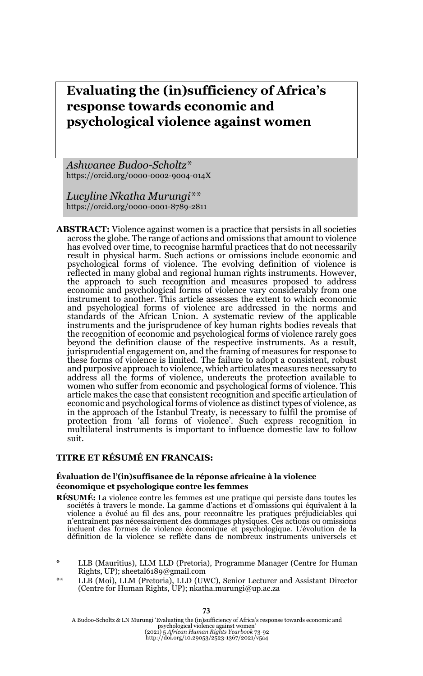# **Evaluating the (in)sufficiency of Africa's response towards economic and psychological violence against women**

*Ashwanee Budoo-Scholtz\**  https://orcid.org/0000-0002-9004-014X

*Lucyline Nkatha Murungi\*\**  https://orcid.org/0000-0001-8789-2811

**ABSTRACT:** Violence against women is a practice that persists in all societies across the globe. The range of actions and omissions that amount to violence has evolved over time, to recognise harmful practices that do not necessarily result in physical harm. Such actions or omissions include economic and psychological forms of violence. The evolving definition of violence is reflected in many global and regional human rights instruments. However, the approach to such recognition and measures proposed to address economic and psychological forms of violence vary considerably from one instrument to another. This article assesses the extent to which economic and psychological forms of violence are addressed in the norms and standards of the African Union. A systematic review of the applicable instruments and the jurisprudence of key human rights bodies reveals that the recognition of economic and psychological forms of violence rarely goes beyond the definition clause of the respective instruments. As a result, jurisprudential engagement on, and the framing of measures for response to these forms of violence is limited. The failure to adopt a consistent, robust and purposive approach to violence, which articulates measures necessary to address all the forms of violence, undercuts the protection available to women who suffer from economic and psychological forms of violence. This article makes the case that consistent recognition and specific articulation of economic and psychological forms of violence as distinct types of violence, as in the approach of the Istanbul Treaty, is necessary to fulfil the promise of protection from 'all forms of violence'. Such express recognition in multilateral instruments is important to influence domestic law to follow suit.

### **TITRE ET RÉSUMÉ EN FRANCAIS:**

#### **Évaluation de l'(in)suffisance de la réponse africaine à la violence économique et psychologique contre les femmes**

- **RÉSUMÉ:** La violence contre les femmes est une pratique qui persiste dans toutes les sociétés à travers le monde. La gamme d'actions et d'omissions qui équivalent à la violence a évolué au fil des ans, pour reconnaître les pratiques préjudiciables qui n'entraînent pas nécessairement des dommages physiques. Ces actions ou omissions incluent des formes de violence économique et psychologique. L'évolution de la définition de la violence se reflète dans de nombreux instruments universels et
- LLB (Mauritius), LLM LLD (Pretoria), Programme Manager (Centre for Human Rights, UP); sheetal6189@gmail.com
- LLB (Moi), LLM (Pretoria), LLD (UWC), Senior Lecturer and Assistant Director (Centre for Human Rights, UP); nkatha.murungi@up.ac.za

**73**

A Budoo-Scholtz & LN Murungi 'Evaluating the (in)sufficiency of Africa's response towards economic and psychological violence against women' (2021) 5 *African Human Rights Yearbook* 73-92 http://doi.org/10.29053/2523-1367/2021/v5a4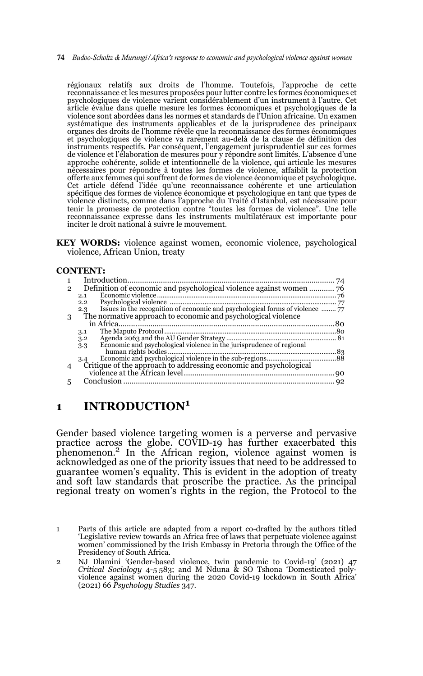**74** *Budoo-Scholtz & Murungi/Africa's response to economic and psychological violence against women* 

régionaux relatifs aux droits de l'homme. Toutefois, l'approche de cette reconnaissance et les mesures proposées pour lutter contre les formes économiques et psychologiques de violence varient considérablement d'un instrument à l'autre. Cet article évalue dans quelle mesure les formes économiques et psychologiques de la violence sont abordées dans les normes et standards de l'Union africaine. Un examen systématique des instruments applicables et de la jurisprudence des principaux organes des droits de l'homme révèle que la reconnaissance des formes économiques et psychologiques de violence va rarement au-delà de la clause de définition des instruments respectifs. Par conséquent, l'engagement jurisprudentiel sur ces formes de violence et l'élaboration de mesures pour y répondre sont limités. L'absence d'une approche cohérente, solide et intentionnelle de la violence, qui articule les mesures nécessaires pour répondre à toutes les formes de violence, affaiblit la protection offerte aux femmes qui souffrent de formes de violence économique et psychologique. Cet article défend l'idée qu'une reconnaissance cohérente et une articulation spécifique des formes de violence économique et psychologique en tant que types de violence distincts, comme dans l'approche du Traité d'Istanbul, est nécessaire pour tenir la promesse de protection contre "toutes les formes de violence". Une telle reconnaissance expresse dans les instruments multilatéraux est importante pour inciter le droit national à suivre le mouvement.

**KEY WORDS:** violence against women, economic violence, psychological violence, African Union, treaty

#### **CONTENT:**

| 2 |                                                                   |  |
|---|-------------------------------------------------------------------|--|
|   | 2.1                                                               |  |
|   | 2.2                                                               |  |
|   | 2.3                                                               |  |
| 3 | The normative approach to economic and psychological violence     |  |
|   |                                                                   |  |
|   | 3.1                                                               |  |
|   | 3.2                                                               |  |
|   | 3.3                                                               |  |
|   |                                                                   |  |
|   | 3.4                                                               |  |
|   | Critique of the approach to addressing economic and psychological |  |
|   |                                                                   |  |
|   |                                                                   |  |
|   |                                                                   |  |

## **1 INTRODUCTION<sup>1</sup>**

Gender based violence targeting women is a perverse and pervasive practice across the globe. COVID-19 has further exacerbated this phenomenon.2 In the African region, violence against women is acknowledged as one of the priority issues that need to be addressed to guarantee women's equality. This is evident in the adoption of treaty and soft law standards that proscribe the practice. As the principal regional treaty on women's rights in the region, the Protocol to the

<sup>1</sup> Parts of this article are adapted from a report co-drafted by the authors titled 'Legislative review towards an Africa free of laws that perpetuate violence against women' commissioned by the Irish Embassy in Pretoria through the Office of the Presidency of South Africa.

<sup>2</sup> NJ Dlamini 'Gender-based violence, twin pandemic to Covid-19' (2021) 47 *Critical Sociology* 4-5 583; and M Nduna & SO Tshona 'Domesticated polyviolence against women during the 2020 Covid-19 lockdown in South Africa' (2021) 66 *Psychology Studies* 347.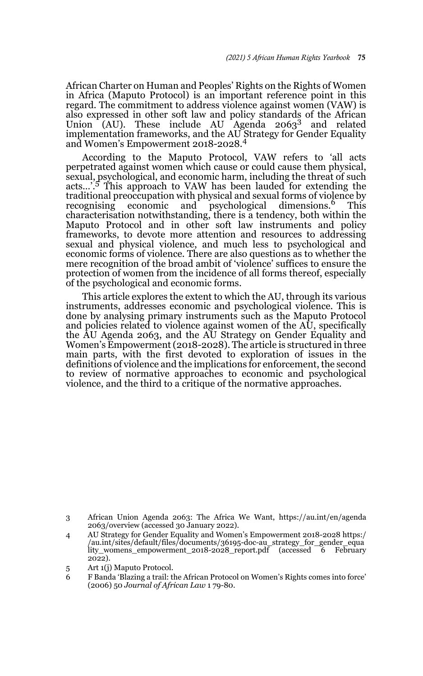African Charter on Human and Peoples' Rights on the Rights of Women in Africa (Maputo Protocol) is an important reference point in this regard. The commitment to address violence against women (VAW) is also expressed in other soft law and policy standards of the African Union (AU). These include AU Agenda  $2063^3$  and related implementation frameworks, and the AU Strategy for Gender Equality and Women's Empowerment 2018-2028.<sup>4</sup>

According to the Maputo Protocol, VAW refers to 'all acts perpetrated against women which cause or could cause them physical, sexual, psychological, and economic harm, including the threat of such acts...'.<sup>5</sup> This approach to VAW has been lauded for extending the traditional preoccupation with physical and sexual forms of violence by recognising economic and psychological dimensions.<sup>6</sup> This characterisation notwithstanding, there is a tendency, both within the Maputo Protocol and in other soft law instruments and policy frameworks, to devote more attention and resources to addressing sexual and physical violence, and much less to psychological and economic forms of violence. There are also questions as to whether the mere recognition of the broad ambit of 'violence' suffices to ensure the protection of women from the incidence of all forms thereof, especially of the psychological and economic forms.

This article explores the extent to which the AU, through its various instruments, addresses economic and psychological violence. This is done by analysing primary instruments such as the Maputo Protocol and policies related to violence against women of the AU, specifically the AU Agenda 2063, and the AU Strategy on Gender Equality and Women's Empowerment (2018-2028). The article is structured in three main parts, with the first devoted to exploration of issues in the definitions of violence and the implications for enforcement, the second to review of normative approaches to economic and psychological violence, and the third to a critique of the normative approaches.

<sup>3</sup> African Union Agenda 2063: The Africa We Want, https://au.int/en/agenda 2063/overview (accessed 30 January 2022).

<sup>4</sup> AU Strategy for Gender Equality and Women's Empowerment 2018-2028 https:/ /au.int/sites/default/files/documents/36195-doc-au\_strategy\_for\_gender\_equa lity\_womens\_empowerment\_2018-2028\_report.pdf (accessed 6 February 2022).

<sup>5</sup> Art 1(j) Maputo Protocol.

<sup>6</sup> F Banda 'Blazing a trail: the African Protocol on Women's Rights comes into force' (2006) 50 *Journal of African Law* 1 79-80.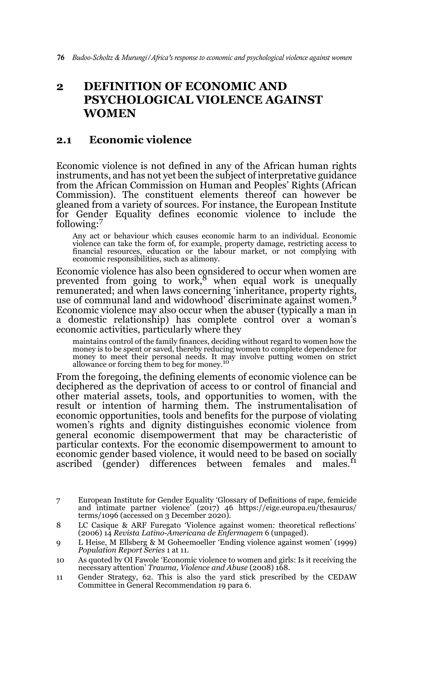## **2 DEFINITION OF ECONOMIC AND PSYCHOLOGICAL VIOLENCE AGAINST WOMEN**

### **2.1 Economic violence**

Economic violence is not defined in any of the African human rights instruments, and has not yet been the subject of interpretative guidance from the African Commission on Human and Peoples' Rights (African Commission). The constituent elements thereof can however be gleaned from a variety of sources. For instance, the European Institute for Gender Equality defines economic violence to include the following:<sup>7</sup>

Any act or behaviour which causes economic harm to an individual. Economic violence can take the form of, for example, property damage, restricting access to financial resources, education or the labour market, or not complying with economic responsibilities, such as alimony.

Economic violence has also been considered to occur when women are prevented from going to work, $8$  when equal work is unequally remunerated; and when laws concerning 'inheritance, property rights, use of communal land and widowhood' discriminate against women.<sup>9</sup> Economic violence may also occur when the abuser (typically a man in a domestic relationship) has complete control over a woman's economic activities, particularly where they

maintains control of the family finances, deciding without regard to women how the money is to be spent or saved, thereby reducing women to complete dependence for money to meet their personal needs. It may involve putting women on strict allowance or forcing them to beg for money.<sup>10</sup>

From the foregoing, the defining elements of economic violence can be deciphered as the deprivation of access to or control of financial and other material assets, tools, and opportunities to women, with the result or intention of harming them. The instrumentalisation of economic opportunities, tools and benefits for the purpose of violating women's rights and dignity distinguishes economic violence from general economic disempowerment that may be characteristic of particular contexts. For the economic disempowerment to amount to economic gender based violence, it would need to be based on socially ascribed (gender) differences between females and males.<sup>11</sup>

11 Gender Strategy, 62. This is also the yard stick prescribed by the CEDAW Committee in General Recommendation 19 para 6.

<sup>7</sup> European Institute for Gender Equality 'Glossary of Definitions of rape, femicide and intimate partner violence' (2017) 46 https://eige.europa.eu/thesaurus/ terms/1096 (accessed on 3 December 2020).

<sup>8</sup> LC Casique & ARF Furegato 'Violence against women: theoretical reflections' (2006) 14 *Revista Latino-Americana de Enfermagem* 6 (unpaged).

<sup>9</sup> L Heise, M Ellsberg & M Goheemoeller 'Ending violence against women' (1999) *Population Report Series* 1 at 11.

<sup>10</sup> As quoted by OI Fawole 'Economic violence to women and girls: Is it receiving the necessary attention' *Trauma, Violence and Abuse* (2008) 168.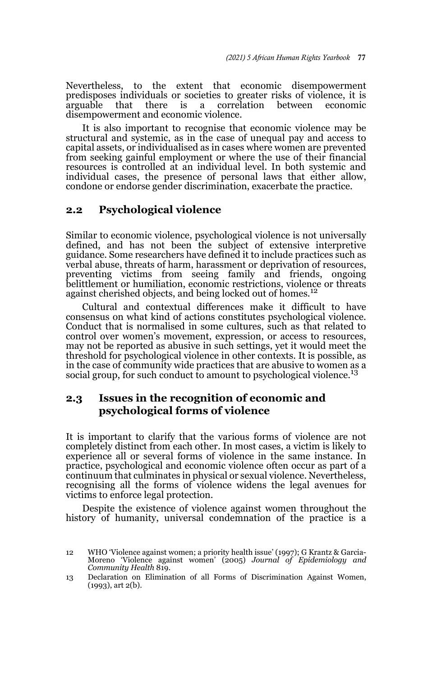Nevertheless, to the extent that economic disempowerment predisposes individuals or societies to greater risks of violence, it is arguable that there is a correlation between economic disempowerment and economic violence.

It is also important to recognise that economic violence may be structural and systemic, as in the case of unequal pay and access to capital assets, or individualised as in cases where women are prevented from seeking gainful employment or where the use of their financial resources is controlled at an individual level. In both systemic and individual cases, the presence of personal laws that either allow, condone or endorse gender discrimination, exacerbate the practice.

### **2.2 Psychological violence**

Similar to economic violence, psychological violence is not universally defined, and has not been the subject of extensive interpretive guidance. Some researchers have defined it to include practices such as verbal abuse, threats of harm, harassment or deprivation of resources, preventing victims from seeing family and friends, ongoing belittlement or humiliation, economic restrictions, violence or threats<br>against cherished objects, and being locked out of homes.<sup>12</sup>

Cultural and contextual differences make it difficult to have consensus on what kind of actions constitutes psychological violence. Conduct that is normalised in some cultures, such as that related to control over women's movement, expression, or access to resources, may not be reported as abusive in such settings, yet it would meet the threshold for psychological violence in other contexts. It is possible, as in the case of community wide practices that are abusive to women as a social group, for such conduct to amount to psychological violence.<sup>13</sup>

### **2.3 Issues in the recognition of economic and psychological forms of violence**

It is important to clarify that the various forms of violence are not completely distinct from each other. In most cases, a victim is likely to experience all or several forms of violence in the same instance. In practice, psychological and economic violence often occur as part of a continuum that culminates in physical or sexual violence. Nevertheless, recognising all the forms of violence widens the legal avenues for victims to enforce legal protection.

Despite the existence of violence against women throughout the history of humanity, universal condemnation of the practice is a

<sup>12</sup> WHO 'Violence against women; a priority health issue' (1997); G Krantz & Garcia-Moreno 'Violence against women' (2005) *Journal of Epidemiology and Community Health* 819.

<sup>13</sup> Declaration on Elimination of all Forms of Discrimination Against Women, (1993), art 2(b).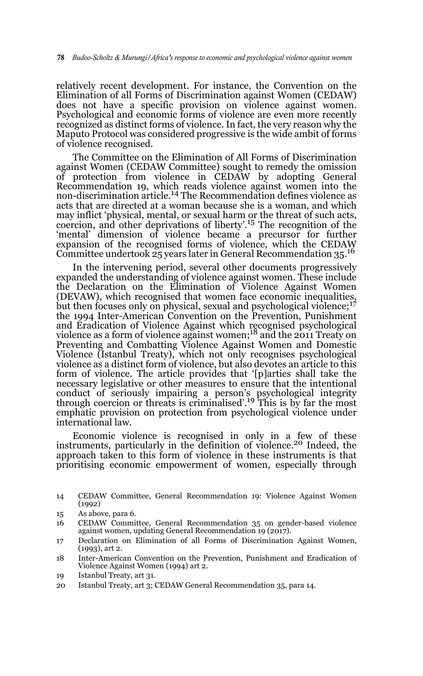relatively recent development. For instance, the Convention on the Elimination of all Forms of Discrimination against Women (CEDAW) does not have a specific provision on violence against women. Psychological and economic forms of violence are even more recently recognized as distinct forms of violence. In fact, the very reason why the Maputo Protocol was considered progressive is the wide ambit of forms of violence recognised.

The Committee on the Elimination of All Forms of Discrimination against Women (CEDAW Committee) sought to remedy the omission of protection from violence in CEDAW by adopting General Recommendation 19, which reads violence against women into the non-discrimination article.14 The Recommendation defines violence as acts that are directed at a woman because she is a woman, and which may inflict 'physical, mental, or sexual harm or the threat of such acts, coercion, and other deprivations of liberty'.<sup>15</sup> The recognition of the 'mental' dimension of violence became a precursor for further expansion of the recognised forms of violence, which the CEDAW Committee undertook 25 years later in General Recommendation 35.16

In the intervening period, several other documents progressively expanded the understanding of violence against women. These include the Declaration on the Elimination of Violence Against Women (DEVAW), which recognised that women face economic inequalities, but then focuses only on physical, sexual and psychological violence;<sup>17</sup> the 1994 Inter-American Convention on the Prevention, Punishment and Eradication of Violence Against which recognised psychological violence as a form of violence against women;18 and the 2011 Treaty on Preventing and Combatting Violence Against Women and Domestic Violence (Istanbul Treaty), which not only recognises psychological violence as a distinct form of violence, but also devotes an article to this form of violence. The article provides that '[p]arties shall take the necessary legislative or other measures to ensure that the intentional conduct of seriously impairing a person's psychological integrity<br>through coercion or threats is criminalised'.<sup>19</sup> This is by far the most emphatic provision on protection from psychological violence under international law.

Economic violence is recognised in only in a few of these instruments, particularly in the definition of violence.<sup>20</sup> Indeed, the approach taken to this form of violence in these instruments is that prioritising economic empowerment of women, especially through

- 14 CEDAW Committee, General Recommendation 19: Violence Against Women (1992)
- 15 As above, para 6.
- 16 CEDAW Committee, General Recommendation 35 on gender-based violence against women, updating General Recommendation 19 (2017).
- 17 Declaration on Elimination of all Forms of Discrimination Against Women, (1993), art 2.
- 18 Inter-American Convention on the Prevention, Punishment and Eradication of Violence Against Women (1994) art 2.
- 19 Istanbul Treaty, art 31.
- 20 Istanbul Treaty, art 3; CEDAW General Recommendation 35, para 14.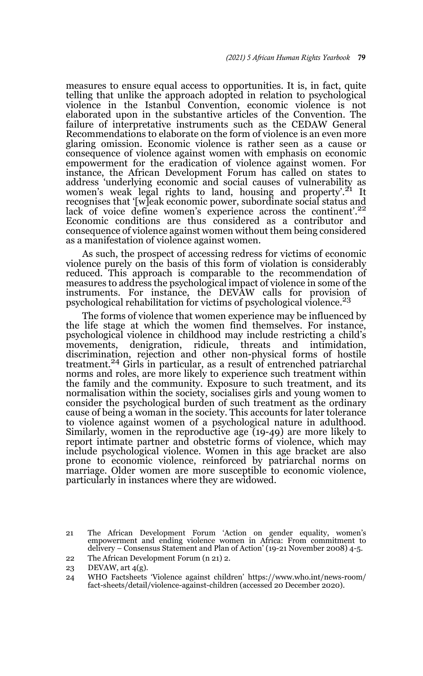measures to ensure equal access to opportunities. It is, in fact, quite telling that unlike the approach adopted in relation to psychological violence in the Istanbul Convention, economic violence is not elaborated upon in the substantive articles of the Convention. The failure of interpretative instruments such as the CEDAW General Recommendations to elaborate on the form of violence is an even more glaring omission. Economic violence is rather seen as a cause or consequence of violence against women with emphasis on economic empowerment for the eradication of violence against women. For instance, the African Development Forum has called on states to address 'underlying economic and social causes of vulnerability as women's weak legal rights to land, housing and property'.<sup>21</sup> It recognises that '[w]eak economic power, subordinate social status and lack of voice define women's experience across the continent'.<sup>22</sup> Economic conditions are thus considered as a contributor and consequence of violence against women without them being considered as a manifestation of violence against women.

As such, the prospect of accessing redress for victims of economic violence purely on the basis of this form of violation is considerably reduced. This approach is comparable to the recommendation of measures to address the psychological impact of violence in some of the instruments. For instance, the DEVAW calls for provision of psychological rehabilitation for victims of psychological violence.<sup>23</sup>

The forms of violence that women experience may be influenced by the life stage at which the women find themselves. For instance, psychological violence in childhood may include restricting a child's ridicule, threats and intimidation, discrimination, rejection and other non-physical forms of hostile treatment.24 Girls in particular, as a result of entrenched patriarchal norms and roles, are more likely to experience such treatment within the family and the community. Exposure to such treatment, and its normalisation within the society, socialises girls and young women to consider the psychological burden of such treatment as the ordinary cause of being a woman in the society. This accounts for later tolerance to violence against women of a psychological nature in adulthood. Similarly, women in the reproductive age (19-49) are more likely to report intimate partner and obstetric forms of violence, which may include psychological violence. Women in this age bracket are also prone to economic violence, reinforced by patriarchal norms on marriage. Older women are more susceptible to economic violence, particularly in instances where they are widowed.

<sup>21</sup> The African Development Forum 'Action on gender equality, women's empowerment and ending violence women in Africa: From commitment to delivery – Consensus Statement and Plan of Action' (19-21 November 2008) 4-5.

<sup>22</sup> The African Development Forum (n 21) 2.

<sup>23</sup> DEVAW,  $art 4(g)$ .

<sup>24</sup> WHO Factsheets 'Violence against children' https://www.who.int/news-room/ fact-sheets/detail/violence-against-children (accessed 20 December 2020).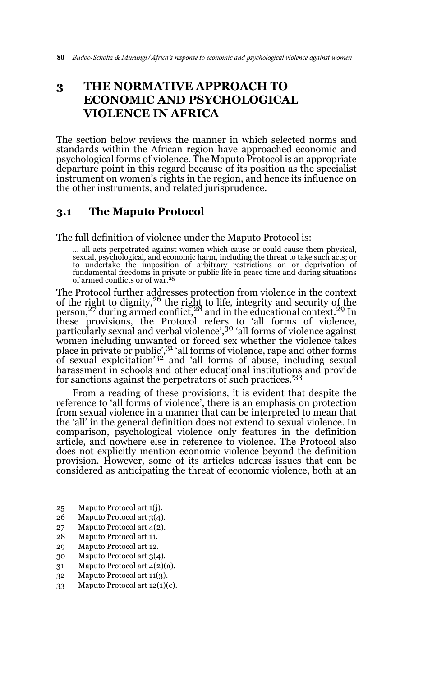## **3 THE NORMATIVE APPROACH TO ECONOMIC AND PSYCHOLOGICAL VIOLENCE IN AFRICA**

The section below reviews the manner in which selected norms and standards within the African region have approached economic and psychological forms of violence. The Maputo Protocol is an appropriate departure point in this regard because of its position as the specialist instrument on women's rights in the region, and hence its influence on the other instruments, and related jurisprudence.

### **3.1 The Maputo Protocol**

The full definition of violence under the Maputo Protocol is:

… all acts perpetrated against women which cause or could cause them physical, sexual, psychological, and economic harm, including the threat to take such acts; or to undertake the imposition of arbitrary restrictions on or deprivation of fundamental freedoms in private or public life in peace time and during situations of armed conflicts or of war.25

The Protocol further addresses protection from violence in the context of the right to dignity,<sup>26</sup> the right to life, integrity and security of the person,<sup>27</sup> during armed conflict,<sup>28</sup> and in the educational context.<sup>29</sup> In these provisions, the Protocol refers to 'all forms of violence, particularly sexual and verbal violence',<sup>30</sup> 'all forms of violence against women including unwanted or forced sex whether the violence takes place in private or public',<sup>31</sup>'all forms of violence, rape and other forms of sexual exploitation'32 and 'all forms of abuse, including sexual harassment in schools and other educational institutions and provide for sanctions against the perpetrators of such practices.'<sup>33</sup>

From a reading of these provisions, it is evident that despite the reference to 'all forms of violence', there is an emphasis on protection from sexual violence in a manner that can be interpreted to mean that the 'all' in the general definition does not extend to sexual violence. In comparison, psychological violence only features in the definition article, and nowhere else in reference to violence. The Protocol also does not explicitly mention economic violence beyond the definition provision. However, some of its articles address issues that can be considered as anticipating the threat of economic violence, both at an

- 25 Maputo Protocol art 1(j).
- 26 Maputo Protocol art 3(4).
- 27 Maputo Protocol art 4(2).
- 28 Maputo Protocol art 11.
- 29 Maputo Protocol art 12.
- 30 Maputo Protocol art 3(4).
- 31 Maputo Protocol art 4(2)(a).
- 32 Maputo Protocol art 11(3).
- 33 Maputo Protocol art 12(1)(c).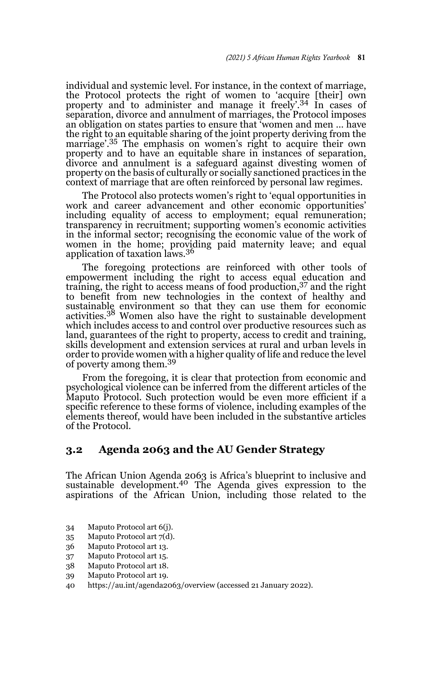individual and systemic level. For instance, in the context of marriage, the Protocol protects the right of women to 'acquire [their] own property and to administer and manage it freely'.34 In cases of separation, divorce and annulment of marriages, the Protocol imposes an obligation on states parties to ensure that 'women and men … have the right to an equitable sharing of the joint property deriving from the marriage'.<sup>35</sup> The emphasis on women's right to acquire their own property and to have an equitable share in instances of separation, divorce and annulment is a safeguard against divesting women of property on the basis of culturally or socially sanctioned practices in the context of marriage that are often reinforced by personal law regimes.

The Protocol also protects women's right to 'equal opportunities in work and career advancement and other economic opportunities' including equality of access to employment; equal remuneration; transparency in recruitment; supporting women's economic activities in the informal sector; recognising the economic value of the work of women in the home; providing paid maternity leave; and equal application of taxation laws.<sup>36</sup>

The foregoing protections are reinforced with other tools of empowerment including the right to access equal education and training, the right to access means of food production,  $37$  and the right to benefit from new technologies in the context of healthy and sustainable environment so that they can use them for economic activities.38 Women also have the right to sustainable development which includes access to and control over productive resources such as land, guarantees of the right to property, access to credit and training, skills development and extension services at rural and urban levels in order to provide women with a higher quality of life and reduce the level of poverty among them.<sup>39</sup>

From the foregoing, it is clear that protection from economic and psychological violence can be inferred from the different articles of the Maputo Protocol. Such protection would be even more efficient if a specific reference to these forms of violence, including examples of the elements thereof, would have been included in the substantive articles of the Protocol.

#### **3.2 Agenda 2063 and the AU Gender Strategy**

The African Union Agenda 2063 is Africa's blueprint to inclusive and sustainable development.<sup>40</sup> The Agenda gives expression to the aspirations of the African Union, including those related to the

- 34 Maputo Protocol art 6(j).
- 35 Maputo Protocol art 7(d).
- 36 Maputo Protocol art 13.
- 37 Maputo Protocol art 15.
- 38 Maputo Protocol art 18.
- 39 Maputo Protocol art 19.
- 40 https://au.int/agenda2063/overview (accessed 21 January 2022).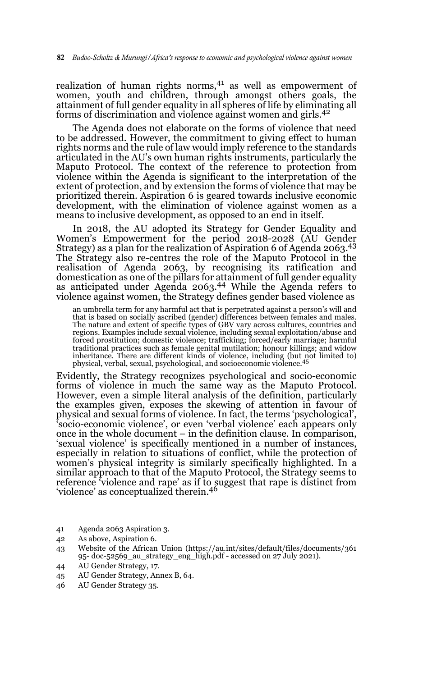realization of human rights norms, $41$  as well as empowerment of women, youth and children, through amongst others goals, the attainment of full gender equality in all spheres of life by eliminating all forms of discrimination and violence against women and girls.42

The Agenda does not elaborate on the forms of violence that need to be addressed. However, the commitment to giving effect to human rights norms and the rule of law would imply reference to the standards articulated in the AU's own human rights instruments, particularly the Maputo Protocol. The context of the reference to protection from violence within the Agenda is significant to the interpretation of the extent of protection, and by extension the forms of violence that may be prioritized therein. Aspiration 6 is geared towards inclusive economic development, with the elimination of violence against women as a means to inclusive development, as opposed to an end in itself.

In 2018, the AU adopted its Strategy for Gender Equality and Women's Empowerment for the period 2018-2028 (AU Gender Strategy) as a plan for the realization of Aspiration 6 of Agenda 2063.43 The Strategy also re-centres the role of the Maputo Protocol in the realisation of Agenda 2063, by recognising its ratification and domestication as one of the pillars for attainment of full gender equality as anticipated under Agenda 2063.44 While the Agenda refers to violence against women, the Strategy defines gender based violence as

an umbrella term for any harmful act that is perpetrated against a person's will and that is based on socially ascribed (gender) differences between females and males. The nature and extent of specific types of GBV vary across cultures, countries and regions. Examples include sexual violence, including sexual exploitation/abuse and forced prostitution; domestic violence; trafficking; forced/early marriage; harmful traditional practices such as female genital mutilation; honour killings; and widow<br>inheritance. There are different kinds of violence, including (but not limited to)<br>physical, verbal, sexual, psychological, and socioecono

Evidently, the Strategy recognizes psychological and socio-economic forms of violence in much the same way as the Maputo Protocol. However, even a simple literal analysis of the definition, particularly the examples given, exposes the skewing of attention in favour of physical and sexual forms of violence. In fact, the terms 'psychological', 'socio-economic violence', or even 'verbal violence' each appears only once in the whole document – in the definition clause. In comparison, 'sexual violence' is specifically mentioned in a number of instances, especially in relation to situations of conflict, while the protection of women's physical integrity is similarly specifically highlighted. In a similar approach to that of the Maputo Protocol, the Strategy seems to reference 'violence and rape' as if to suggest that rape is distinct from 'violence' as conceptualized therein.<sup>46</sup>

- 41 Agenda 2063 Aspiration 3.
- 42 As above, Aspiration 6.
- 43 Website of the African Union (https://au.int/sites/default/files/documents/361 95- doc-52569\_au\_strategy\_eng\_high.pdf - accessed on 27 July 2021).
- 44 AU Gender Strategy, 17.
- 45 AU Gender Strategy, Annex B, 64.
- 46 AU Gender Strategy 35.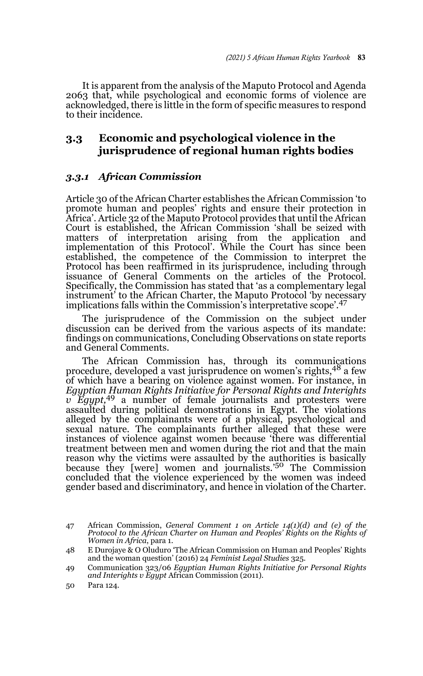It is apparent from the analysis of the Maputo Protocol and Agenda 2063 that, while psychological and economic forms of violence are acknowledged, there is little in the form of specific measures to respond to their incidence.

### **3.3 Economic and psychological violence in the jurisprudence of regional human rights bodies**

### *3.3.1 African Commission*

Article 30 of the African Charter establishes the African Commission 'to promote human and peoples' rights and ensure their protection in Africa'. Article 32 of the Maputo Protocol provides that until the African Court is established, the African Commission 'shall be seized with matters of interpretation arising from the application and implementation of this Protocol'. While the Court has since been established, the competence of the Commission to interpret the Protocol has been reaffirmed in its jurisprudence, including through issuance of General Comments on the articles of the Protocol. Specifically, the Commission has stated that 'as a complementary legal instrument' to the African Charter, the Maputo Protocol 'by necessary implications falls within the Commission's interpretative scope'.<sup>47</sup>

The jurisprudence of the Commission on the subject under discussion can be derived from the various aspects of its mandate: findings on communications, Concluding Observations on state reports and General Comments.

The African Commission has, through its communications procedure, developed a vast jurisprudence on women's rights, <sup>48</sup> a few of which have a bearing on violence against women. For instance, in *Egyptian Human Rights Initiative for Personal Rights and Interights v Egypt,*49 a number of female journalists and protesters were assaulted during political demonstrations in Egypt. The violations alleged by the complainants were of a physical, psychological and sexual nature. The complainants further alleged that these were instances of violence against women because 'there was differential treatment between men and women during the riot and that the main reason why the victims were assaulted by the authorities is basically because they [were] women and journalists.'50 The Commission concluded that the violence experienced by the women was indeed gender based and discriminatory, and hence in violation of the Charter.

<sup>47</sup> African Commission, *General Comment 1 on Article 14(1)(d) and (e) of the Protocol to the African Charter on Human and Peoples' Rights on the Rights of Women in Africa*, para 1.

<sup>48</sup> E Durojaye & O Oluduro 'The African Commission on Human and Peoples' Rights and the woman question' (2016) 24 *Feminist Legal Studies* 325.

<sup>49</sup> Communication 323/06 *Egyptian Human Rights Initiative for Personal Rights* and Interights v Egypt African Commission (2011).

<sup>50</sup> Para 124.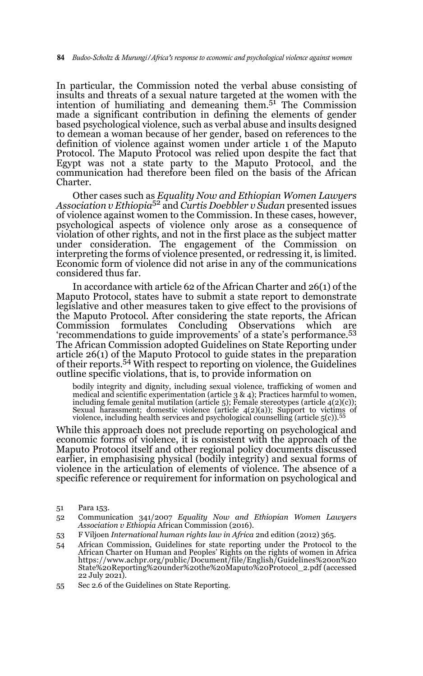In particular, the Commission noted the verbal abuse consisting of insults and threats of a sexual nature targeted at the women with the intention of humiliating and demeaning them.51 The Commission made a significant contribution in defining the elements of gender based psychological violence, such as verbal abuse and insults designed to demean a woman because of her gender, based on references to the definition of violence against women under article 1 of the Maputo Protocol. The Maputo Protocol was relied upon despite the fact that Egypt was not a state party to the Maputo Protocol, and the communication had therefore been filed on the basis of the African Charter.

Other cases such as *Equality Now and Ethiopian Women Lawyers Association v Ethiopia*<sup>52</sup> and *Curtis Doebbler v Sudan* presented issues of violence against women to the Commission. In these cases, however, psychological aspects of violence only arose as a consequence of violation of other rights, and not in the first place as the subject matter under consideration. The engagement of the Commission on interpreting the forms of violence presented, or redressing it, is limited. Economic form of violence did not arise in any of the communications considered thus far.

In accordance with article 62 of the African Charter and 26(1) of the Maputo Protocol, states have to submit a state report to demonstrate legislative and other measures taken to give effect to the provisions of the Maputo Protocol. After considering the state reports, the African Commission formulates Concluding Observations which are 'recommendations to guide improvements' of a state's performance.<sup>53</sup> The African Commission adopted Guidelines on State Reporting under article 26(1) of the Maputo Protocol to guide states in the preparation of their reports.54 With respect to reporting on violence, the Guidelines outline specific violations, that is, to provide information on

bodily integrity and dignity, including sexual violence, trafficking of women and medical and scientific experimentation (article 3 & 4); Practices harmful to women, including female genital mutilation (article 5); Female stereotypes (article 4(2)(c)); Sexual harassment; domestic violence (article  $4(2)(a)$ ); Support to victims of violence, including health services and psychological counselling (article  $5(c)$ ).<sup>55</sup>

While this approach does not preclude reporting on psychological and economic forms of violence, it is consistent with the approach of the Maputo Protocol itself and other regional policy documents discussed earlier, in emphasising physical (bodily integrity) and sexual forms of violence in the articulation of elements of violence. The absence of a specific reference or requirement for information on psychological and

<sup>51</sup> Para 153.

<sup>52</sup> Communication 341/2007 *Equality Now and Ethiopian Women Lawyers Association v Ethiopia* African Commission (2016).

<sup>53</sup> F Viljoen *International human rights law in Africa* 2nd edition (2012) 365.

<sup>54</sup> African Commission, Guidelines for state reporting under the Protocol to the African Charter on Human and Peoples' Rights on the rights of women in Africa https://www.achpr.org/public/Document/file/English/Guidelines%20on%20 State%20Reporting%20under%20the%20Maputo%20Protocol\_2.pdf (accessed 22 July 2021).

<sup>55</sup> Sec 2.6 of the Guidelines on State Reporting.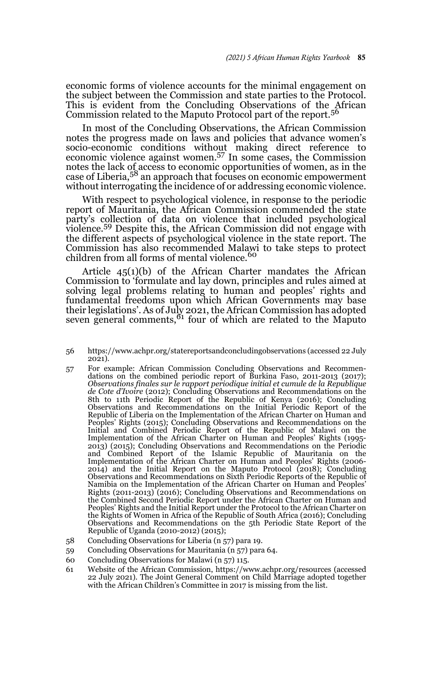economic forms of violence accounts for the minimal engagement on the subject between the Commission and state parties to the Protocol. This is evident from the Concluding Observations of the African Commission related to the Maputo Protocol part of the report.<sup>56</sup>

In most of the Concluding Observations, the African Commission notes the progress made on laws and policies that advance women's socio-economic conditions without making direct reference to economic violence against women.<sup>57</sup> In some cases, the Commission notes the lack of access to economic opportunities of women, as in the case of Liberia,58 an approach that focuses on economic empowerment without interrogating the incidence of or addressing economic violence.

With respect to psychological violence, in response to the periodic report of Mauritania, the African Commission commended the state party's collection of data on violence that included psychological violence.59 Despite this, the African Commission did not engage with the different aspects of psychological violence in the state report. The Commission has also recommended Malawi to take steps to protect children from all forms of mental violence.<sup>60</sup>

Article 45(1)(b) of the African Charter mandates the African Commission to 'formulate and lay down, principles and rules aimed at solving legal problems relating to human and peoples' rights and fundamental freedoms upon which African Governments may base their legislations'. As of July 2021, the African Commission has adopted seven general comments, $61$  four of which are related to the Maputo

- 56 https://www.achpr.org/statereportsandconcludingobservations (accessed 22 July  $2021$
- 57 For example: African Commission Concluding Observations and Recommen-dations on the combined periodic report of Burkina Faso, 2011-2013 (2017); *Observations finales sur le rapport periodique initial et cumule de la Republique de Cote d'Ivoire* (2012); Concluding Observations and Recommendations on the 8th to 11th Periodic Report of the Republic of Kenya (2016); Concluding Observations and Recommendations on the Initial Periodic Report of the Republic of Liberia on the Implementation of the African Charter on Human and Peoples' Rights (2015); Concluding Observations and Recommendations on the Initial and Combined Periodic Report of the Republic of Malawi on the Implementation of the African Charter on Human and Peoples' Rights (1995- 2013) (2015); Concluding Observations and Recommendations on the Periodic and Combined Report of the Islamic Republic of Mauritania on the Implementation of the African Charter on Human and Peoples' Rights (2006- 2014) and the Initial Report on the Maputo Protocol (2018); Concluding Observations and Recommendations on Sixth Periodic Reports of the Republic of Namibia on the Implementation of the African Charter on Human and Peoples' Rights (2011-2013) (2016); Concluding Observations and Recommendations on the Combined Second Periodic Report under the African Charter on Human and Peoples' Rights and the Initial Report under the Protocol to the African Charter on the Rights of Women in Africa of the Republic of South Africa (2016); Concluding Observations and Recommendations on the 5th Periodic State Report of the Republic of Uganda (2010-2012) (2015);
- 58 Concluding Observations for Liberia (n 57) para 19.
- 59 Concluding Observations for Mauritania (n 57) para 64.
- 60 Concluding Observations for Malawi (n 57) 115.
- 61 Website of the African Commission, https://www.achpr.org/resources (accessed 22 July 2021). The Joint General Comment on Child Marriage adopted together with the African Children's Committee in 2017 is missing from the list.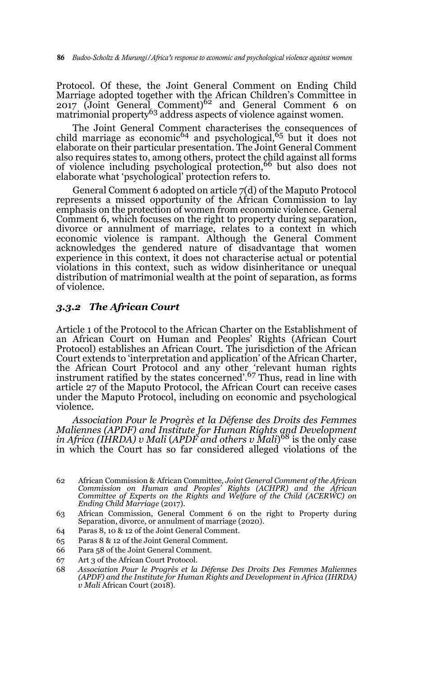Protocol. Of these, the Joint General Comment on Ending Child Marriage adopted together with the African Children's Committee in<br>2017 (Joint General Comment)<sup>62</sup> and General Comment 6 on  $\frac{251}{\text{m}}$  come contract comment  $\frac{60}{\text{m}}$  and  $\frac{60}{\text{m}}$  contract comment  $\frac{60}{\text{m}}$ 

The Joint General Comment characterises the consequences of child marriage as economic<sup>64</sup> and psychological,<sup>65</sup> but it does not elaborate on their particular presentation. The Joint General Comment also requires states to, among others, protect the child against all forms<br>of violence including psychological protection,<sup>66</sup> but also does not elaborate what 'psychological' protection refers to.

General Comment 6 adopted on article 7(d) of the Maputo Protocol represents a missed opportunity of the African Commission to lay emphasis on the protection of women from economic violence. General Comment 6, which focuses on the right to property during separation, divorce or annulment of marriage, relates to a context in which economic violence is rampant. Although the General Comment acknowledges the gendered nature of disadvantage that women experience in this context, it does not characterise actual or potential violations in this context, such as widow disinheritance or unequal distribution of matrimonial wealth at the point of separation, as forms of violence.

#### *3.3.2 The African Court*

Article 1 of the Protocol to the African Charter on the Establishment of an African Court on Human and Peoples' Rights (African Court Protocol) establishes an African Court. The jurisdiction of the African Court extends to 'interpretation and application' of the African Charter, the African Court Protocol and any other 'relevant human rights<br>instrument ratified by the states concerned'.<sup>67</sup> Thus, read in line with article 27 of the Maputo Protocol, the African Court can receive cases under the Maputo Protocol, including on economic and psychological violence.

*Association Pour le Progrès et la Défense des Droits des Femmes Maliennes (APDF) and Institute for Human Rights and Development in Africa (IHRDA) v Mali* (*APDF and others v Mali*) 68 is the only case in which the Court has so far considered alleged violations of the

- 63 African Commission, General Comment 6 on the right to Property during Separation, divorce, or annulment of marriage (2020).
- 64 Paras 8, 10 & 12 of the Joint General Comment.
- 65 Paras 8 & 12 of the Joint General Comment.
- 66 Para 58 of the Joint General Comment.
- 67 Art 3 of the African Court Protocol.
- 68 *Association Pour le Progrès et la Défense Des Droits Des Femmes Maliennes (APDF) and the Institute for Human Rights and Development in Africa (IHRDA) v Mali* African Court (2018).

<sup>62</sup> African Commission & African Committee, *Joint General Comment of the African Commission on Human and Peoples' Rights (ACHPR) and the African Committee of Experts on the Rights and Welfare of the Child (ACERWC) on Ending Child Marriage* (2017).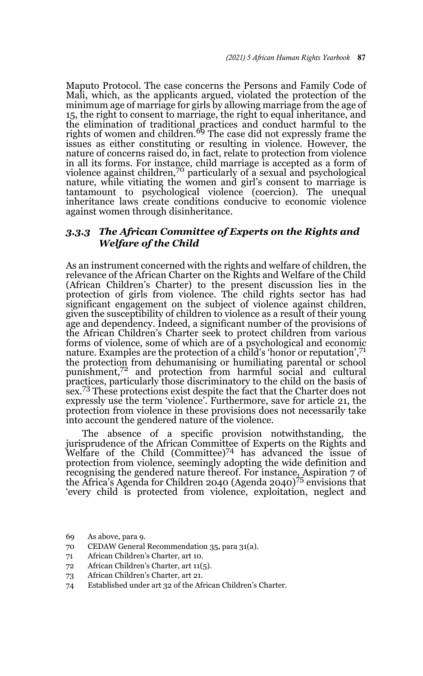Maputo Protocol. The case concerns the Persons and Family Code of Mali, which, as the applicants argued, violated the protection of the minimum age of marriage for girls by allowing marriage from the age of 15, the right to consent to marriage, the right to equal inheritance, and the elimination of traditional practices and conduct harmful to the rights of women and children.<sup>69</sup> The case did not expressly frame the issues as either constituting or resulting in violence. However, the nature of concerns raised do, in fact, relate to protection from violence in all its forms. For instance, child marriage is accepted as a form of violence against children,<sup>70</sup> particularly of a sexual and psychological nature, while vitiating the women and girl's consent to marriage is tantamount to psychological violence (coercion). The unequal inheritance laws create conditions conducive to economic violence against women through disinheritance.

### *3.3.3 The African Committee of Experts on the Rights and Welfare of the Child*

As an instrument concerned with the rights and welfare of children, the relevance of the African Charter on the Rights and Welfare of the Child (African Children's Charter) to the present discussion lies in the protection of girls from violence. The child rights sector has had significant engagement on the subject of violence against children, given the susceptibility of children to violence as a result of their young age and dependency. Indeed, a significant number of the provisions of the African Children's Charter seek to protect children from various forms of violence, some of which are of a psychological and economic nature. Examples are the protection of a child's 'honor or reputation',<sup>71</sup> the protection from dehumanising or humiliating parental or school punishment,<sup>72</sup> and protection from harmful social and cultural practices, particularly those discriminatory to the child on the basis of sex.<sup>73</sup> These protections exist despite the fact that the Charter does not expressly use the term 'violence'. Furthermore, save for article 21, the protection from violence in these provisions does not necessarily take into account the gendered nature of the violence.

The absence of a specific provision notwithstanding, the jurisprudence of the African Committee of Experts on the Rights and<br>Welfare of the Child (Committee)<sup>74</sup> has advanced the issue of protection from violence, seemingly adopting the wide definition and recognising the gendered nature thereof. For instance, Aspiration 7 of the Africa's Agenda for Children 2040 (Agenda 2040)75 envisions that 'every child is protected from violence, exploitation, neglect and

- 70 CEDAW General Recommendation 35, para 31(a).
- 71 African Children's Charter, art 10.
- 72 African Children's Charter, art 11(5).
- 73 African Children's Charter, art 21.
- 74 Established under art 32 of the African Children's Charter.

<sup>69</sup> As above, para 9.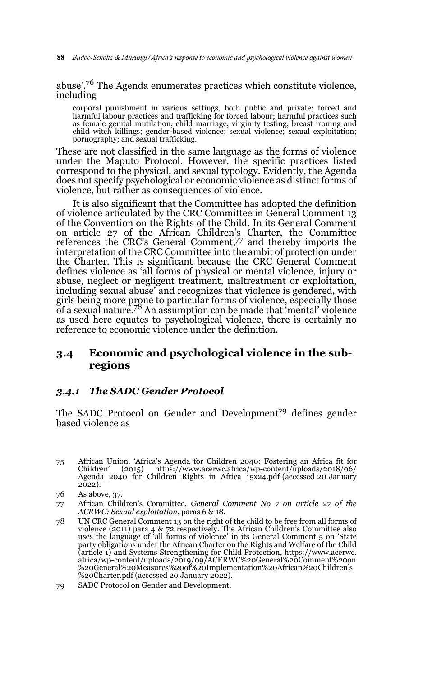**88** *Budoo-Scholtz & Murungi/Africa's response to economic and psychological violence against women* 

abuse'.76 The Agenda enumerates practices which constitute violence, including

corporal punishment in various settings, both public and private; forced and harmful labour practices and trafficking for forced labour; harmful practices such as female genital mutilation, child marriage, virginity testing, breast ironing and child witch killings; gender-based violence; sexual violence; sexual exploitation; pornography; and sexual trafficking.

These are not classified in the same language as the forms of violence under the Maputo Protocol. However, the specific practices listed correspond to the physical, and sexual typology. Evidently, the Agenda does not specify psychological or economic violence as distinct forms of violence, but rather as consequences of violence.

It is also significant that the Committee has adopted the definition of violence articulated by the CRC Committee in General Comment 13 of the Convention on the Rights of the Child. In its General Comment on article 27 of the African Children's Charter, the Committee references the CRC's General Comment,77 and thereby imports the interpretation of the CRC Committee into the ambit of protection under the Charter. This is significant because the CRC General Comment defines violence as 'all forms of physical or mental violence, injury or abuse, neglect or negligent treatment, maltreatment or exploitation, including sexual abuse' and recognizes that violence is gendered, with girls being more prone to particular forms of violence, especially those<br>of a sexual nature.<sup>78</sup> An assumption can be made that 'mental' violence as used here equates to psychological violence, there is certainly no reference to economic violence under the definition.

### **3.4 Economic and psychological violence in the subregions**

### *3.4.1 The SADC Gender Protocol*

The SADC Protocol on Gender and Development<sup>79</sup> defines gender based violence as

75 African Union, 'Africa's Agenda for Children 2040: Fostering an Africa fit for https://www.acerwc.africa/wp-content/uploads/2018/06/ Agenda\_2040\_for\_Children\_Rights\_in\_Africa\_15x24.pdf (accessed 20 January  $2022$ ).

- 77 African Children's Committee, *General Comment No 7 on article 27 of the ACRWC: Sexual exploitation*, paras 6 & 18.
- 78 UN CRC General Comment 13 on the right of the child to be free from all forms of violence (2011) para 4 & 72 respectively. The African Children's Committee also uses the language of 'all forms of violence' in its General Comment 5 on 'State party obligations under the African Charter on the Rights and Welfare of the Child (article 1) and Systems Strengthening for Child Protection, https://www.acerwc. africa/wp-content/uploads/2019/09/ACERWC%20General%20Comment%20on %20General%20Measures%20of%20Implementation%20African%20Children's %20Charter.pdf (accessed 20 January 2022).
- 79 SADC Protocol on Gender and Development.

<sup>76</sup> As above, 37.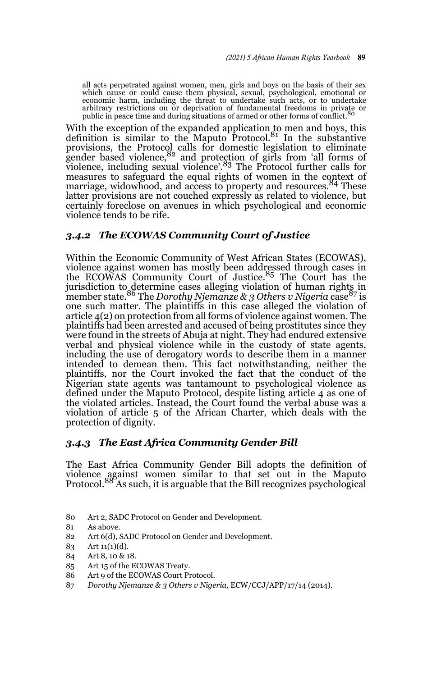all acts perpetrated against women, men, girls and boys on the basis of their sex which cause or could cause them physical, sexual, psychological, emotional or economic harm, including the threat to undertake such acts, or to undertake arbitrary restrictions on or deprivation of fundamental freedoms in private or public in peace time and during situations of armed or other forms of conflict.<sup>80</sup>

With the exception of the expanded application to men and boys, this definition is similar to the Maputo Protocol. $81$  In the substantive provisions, the Protocol calls for domestic legislation to eliminate<br>gender based violence,<sup>82</sup> and protection of girls from 'all forms of violence, including sexual violence'.83 The Protocol further calls for measures to safeguard the equal rights of women in the context of marriage, widowhood, and access to property and resources.<sup>84</sup> These latter provisions are not couched expressly as related to violence, but certainly foreclose on avenues in which psychological and economic violence tends to be rife.

### *3.4.2 The ECOWAS Community Court of Justice*

Within the Economic Community of West African States (ECOWAS), violence against women has mostly been addressed through cases in<br>the ECOWAS Community Court of Justice.<sup>85</sup> The Court has the jurisdiction to determine cases alleging violation of human rights in<br>member state.<sup>86</sup> The *Dorothy Njemanze & 3 Others v Nigeria* case<sup>87</sup> is one such matter. The plaintiffs in this case alleged the violation of article 4(2) on protection from all forms of violence against women. The plaintiffs had been arrested and accused of being prostitutes since they were found in the streets of Abuja at night. They had endured extensive verbal and physical violence while in the custody of state agents, including the use of derogatory words to describe them in a manner intended to demean them. This fact notwithstanding, neither the plaintiffs, nor the Court invoked the fact that the conduct of the Nigerian state agents was tantamount to psychological violence as defined under the Maputo Protocol, despite listing article 4 as one of the violated articles. Instead, the Court found the verbal abuse was a violation of article 5 of the African Charter, which deals with the protection of dignity.

#### *3.4.3 The East Africa Community Gender Bill*

The East Africa Community Gender Bill adopts the definition of violence against women similar to that set out in the Maputo<br>Protocol.<sup>88</sup> As such, it is arguable that the Bill recognizes psychological

- 80 Art 2, SADC Protocol on Gender and Development.
- 81 As above.
- 82 Art 6(d), SADC Protocol on Gender and Development.
- 83 Art 11(1)(d).
- 84 Art 8, 10 & 18.
- 85 Art 15 of the ECOWAS Treaty.
- 86 Art 9 of the ECOWAS Court Protocol.
- 87 *Dorothy Njemanze & 3 Others v Nigeria,* ECW/CCJ/APP/17/14 (2014).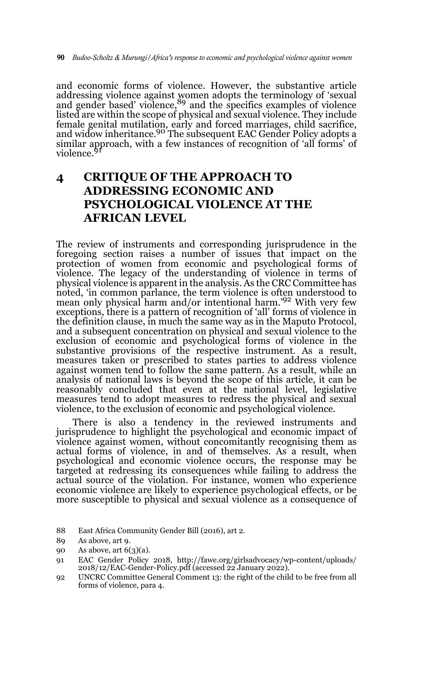and economic forms of violence. However, the substantive article addressing violence against women adopts the terminology of 'sexual<br>and gender based' violence, <sup>89</sup> and the specifics examples of violence listed are within the scope of physical and sexual violence. They include female genital mutilation, early and forced marriages, child sacrifice,<br>and widow inheritance.<sup>90</sup> The subsequent EAC Gender Policy adopts a similar approach, with a few instances of recognition of 'all forms' of<br>violence.<sup>91</sup>

## **4 CRITIQUE OF THE APPROACH TO ADDRESSING ECONOMIC AND PSYCHOLOGICAL VIOLENCE AT THE AFRICAN LEVEL**

The review of instruments and corresponding jurisprudence in the foregoing section raises a number of issues that impact on the protection of women from economic and psychological forms of violence. The legacy of the understanding of violence in terms of physical violence is apparent in the analysis. As the CRC Committee has noted, 'in common parlance, the term violence is often understood to mean only physical harm and/or intentional harm.'92 With very few exceptions, there is a pattern of recognition of 'all' forms of violence in the definition clause, in much the same way as in the Maputo Protocol, and a subsequent concentration on physical and sexual violence to the exclusion of economic and psychological forms of violence in the substantive provisions of the respective instrument. As a result, measures taken or prescribed to states parties to address violence against women tend to follow the same pattern. As a result, while an analysis of national laws is beyond the scope of this article, it can be reasonably concluded that even at the national level, legislative measures tend to adopt measures to redress the physical and sexual violence, to the exclusion of economic and psychological violence.

There is also a tendency in the reviewed instruments and jurisprudence to highlight the psychological and economic impact of violence against women, without concomitantly recognising them as actual forms of violence, in and of themselves. As a result, when psychological and economic violence occurs, the response may be targeted at redressing its consequences while failing to address the actual source of the violation. For instance, women who experience economic violence are likely to experience psychological effects, or be more susceptible to physical and sexual violence as a consequence of

88 East Africa Community Gender Bill (2016), art 2.

92 UNCRC Committee General Comment 13: the right of the child to be free from all forms of violence, para 4.

<sup>89</sup> As above, art 9.

<sup>90</sup> As above, art 6(3)(a).

<sup>91</sup> EAC Gender Policy 2018, http://fawe.org/girlsadvocacy/wp-content/uploads/ 2018/12/EAC-Gender-Policy.pdf (accessed 22 January 2022).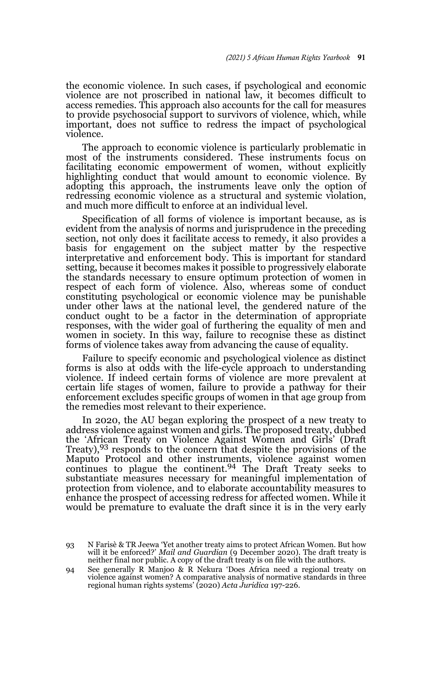the economic violence. In such cases, if psychological and economic violence are not proscribed in national law, it becomes difficult to access remedies. This approach also accounts for the call for measures to provide psychosocial support to survivors of violence, which, while important, does not suffice to redress the impact of psychological violence.

The approach to economic violence is particularly problematic in most of the instruments considered. These instruments focus on facilitating economic empowerment of women, without explicitly highlighting conduct that would amount to economic violence. By adopting this approach, the instruments leave only the option of redressing economic violence as a structural and systemic violation, and much more difficult to enforce at an individual level.

Specification of all forms of violence is important because, as is evident from the analysis of norms and jurisprudence in the preceding section, not only does it facilitate access to remedy, it also provides a basis for engagement on the subject matter by the respective interpretative and enforcement body. This is important for standard setting, because it becomes makes it possible to progressively elaborate the standards necessary to ensure optimum protection of women in respect of each form of violence. Also, whereas some of conduct constituting psychological or economic violence may be punishable under other laws at the national level, the gendered nature of the conduct ought to be a factor in the determination of appropriate responses, with the wider goal of furthering the equality of men and women in society. In this way, failure to recognise these as distinct forms of violence takes away from advancing the cause of equality.

Failure to specify economic and psychological violence as distinct forms is also at odds with the life-cycle approach to understanding violence. If indeed certain forms of violence are more prevalent at certain life stages of women, failure to provide a pathway for their enforcement excludes specific groups of women in that age group from the remedies most relevant to their experience.

In 2020, the AU began exploring the prospect of a new treaty to address violence against women and girls. The proposed treaty, dubbed the 'African Treaty on Violence Against Women and Girls' (Draft Treaty), <sup>93</sup> responds to the concern that despite the provisions of the Maputo Protocol and other instruments, violence against women continues to plague the continent.<sup>94</sup> The Draft Treaty seeks to substantiate measures necessary for meaningful implementation of protection from violence, and to elaborate accountability measures to enhance the prospect of accessing redress for affected women. While it would be premature to evaluate the draft since it is in the very early

<sup>93</sup> N Farisè & TR Jeewa 'Yet another treaty aims to protect African Women. But how will it be enforced?' *Mail and Guardian* (9 December 2020). The draft treaty is neither final nor public. A copy of the draft treaty is on file with the authors.

<sup>94</sup> See generally R Manjoo & R Nekura 'Does Africa need a regional treaty on violence against women? A comparative analysis of normative standards in three regional human rights systems' (2020) *Acta Juridica* 197-226.